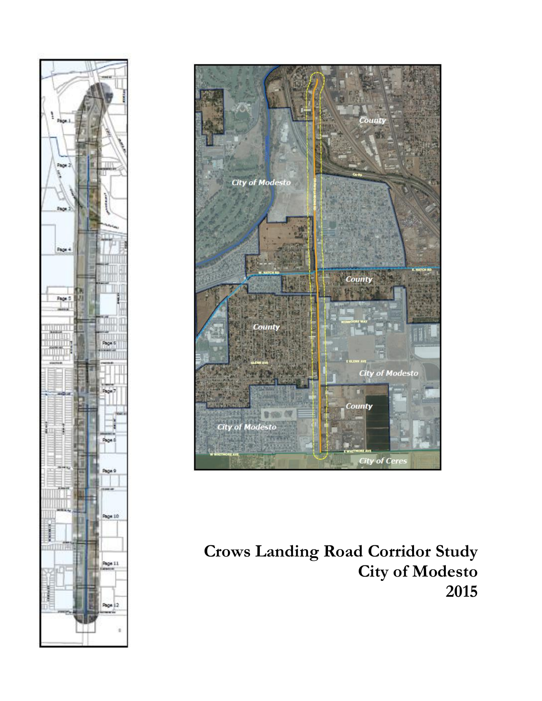



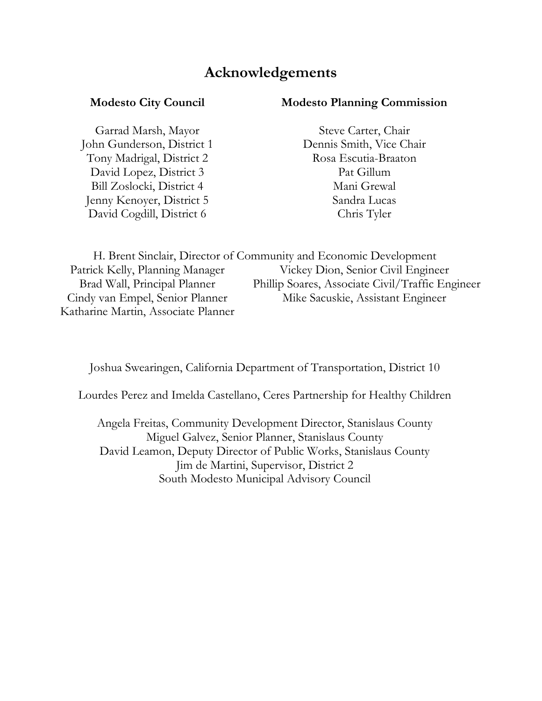### **Acknowledgements**

Garrad Marsh, Mayor Steve Carter, Chair John Gunderson, District 1 Dennis Smith, Vice Chair Tony Madrigal, District 2 Rosa Escutia-Braaton David Lopez, District 3 Pat Gillum Bill Zoslocki, District 4 Mani Grewal Jenny Kenoyer, District 5 Sandra Lucas David Cogdill, District 6 Chris Tyler

#### **Modesto City Council Modesto Planning Commission**

H. Brent Sinclair, Director of Community and Economic Development Patrick Kelly, Planning Manager Vickey Dion, Senior Civil Engineer Brad Wall, Principal Planner Phillip Soares, Associate Civil/Traffic Engineer Cindy van Empel, Senior Planner Mike Sacuskie, Assistant Engineer Katharine Martin, Associate Planner

Joshua Swearingen, California Department of Transportation, District 10

Lourdes Perez and Imelda Castellano, Ceres Partnership for Healthy Children

Angela Freitas, Community Development Director, Stanislaus County Miguel Galvez, Senior Planner, Stanislaus County David Leamon, Deputy Director of Public Works, Stanislaus County Jim de Martini, Supervisor, District 2 South Modesto Municipal Advisory Council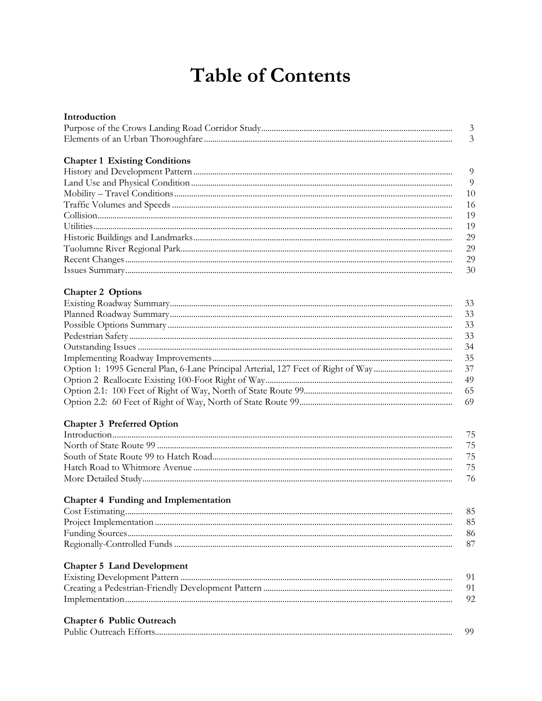### **Table of Contents**

| Introduction                         |                |
|--------------------------------------|----------------|
|                                      | $\mathfrak{Z}$ |
|                                      | 3              |
|                                      |                |
| <b>Chapter 1 Existing Conditions</b> |                |
|                                      | 9              |
|                                      | 9              |
|                                      | 10             |
|                                      | 16             |
|                                      | 19             |
|                                      | 19             |
|                                      | 29             |
|                                      | 29             |
|                                      | 29             |
|                                      | 30             |
|                                      |                |
| <b>Chapter 2 Options</b>             |                |
|                                      | 33             |
|                                      | 33             |
|                                      | 33             |
|                                      | 33             |
|                                      | 34             |
|                                      | 35             |
|                                      | 37             |
|                                      | 49             |
|                                      | 65             |
|                                      | 69             |
|                                      |                |
| <b>Chapter 3 Preferred Option</b>    |                |
|                                      | 75             |
|                                      | 75             |
|                                      | 75             |
|                                      | 75             |
|                                      | 76             |
|                                      |                |
| Chapter 4 Funding and Implementation |                |
|                                      | 85             |
|                                      | 85             |
|                                      | 86             |
|                                      | 87             |
|                                      |                |
| <b>Chapter 5 Land Development</b>    |                |
|                                      | 91             |
|                                      | 91             |
|                                      | 92             |
|                                      |                |
| <b>Chapter 6 Public Outreach</b>     |                |
|                                      | 99             |
|                                      |                |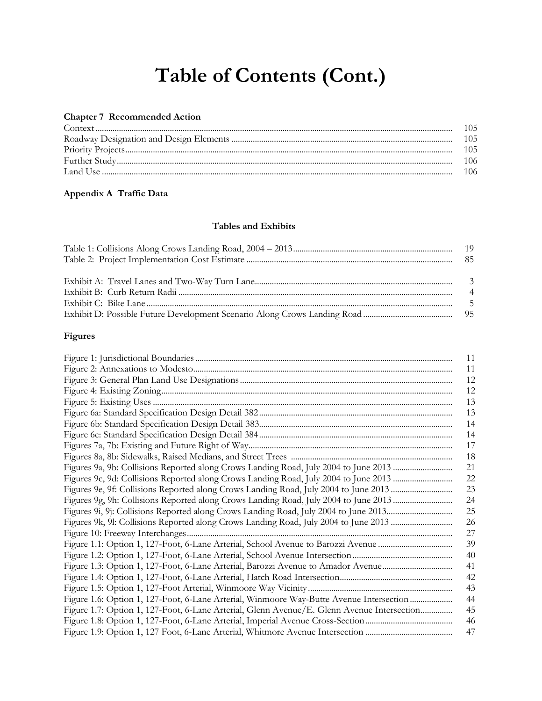# **Table of Contents (Cont.)**

#### **Chapter 7 Recommended Action**

| -106 |
|------|
|      |

### **Appendix A Traffic Data**

#### **Tables and Exhibits**

| $\overline{4}$ |
|----------------|
|                |
|                |

### **Figures**

|                                                                                            | 11 |
|--------------------------------------------------------------------------------------------|----|
|                                                                                            | 11 |
|                                                                                            | 12 |
|                                                                                            | 12 |
|                                                                                            | 13 |
|                                                                                            | 13 |
|                                                                                            | 14 |
|                                                                                            | 14 |
|                                                                                            | 17 |
|                                                                                            | 18 |
|                                                                                            | 21 |
|                                                                                            | 22 |
| Figures 9e, 9f: Collisions Reported along Crows Landing Road, July 2004 to June 2013       | 23 |
| Figures 9g, 9h: Collisions Reported along Crows Landing Road, July 2004 to June 2013       | 24 |
|                                                                                            | 25 |
|                                                                                            | 26 |
|                                                                                            | 27 |
|                                                                                            | 39 |
|                                                                                            | 40 |
|                                                                                            | 41 |
|                                                                                            | 42 |
|                                                                                            | 43 |
| Figure 1.6: Option 1, 127-Foot, 6-Lane Arterial, Winmoore Way-Butte Avenue Intersection    | 44 |
| Figure 1.7: Option 1, 127-Foot, 6-Lane Arterial, Glenn Avenue/E. Glenn Avenue Intersection | 45 |
|                                                                                            | 46 |
|                                                                                            | 47 |